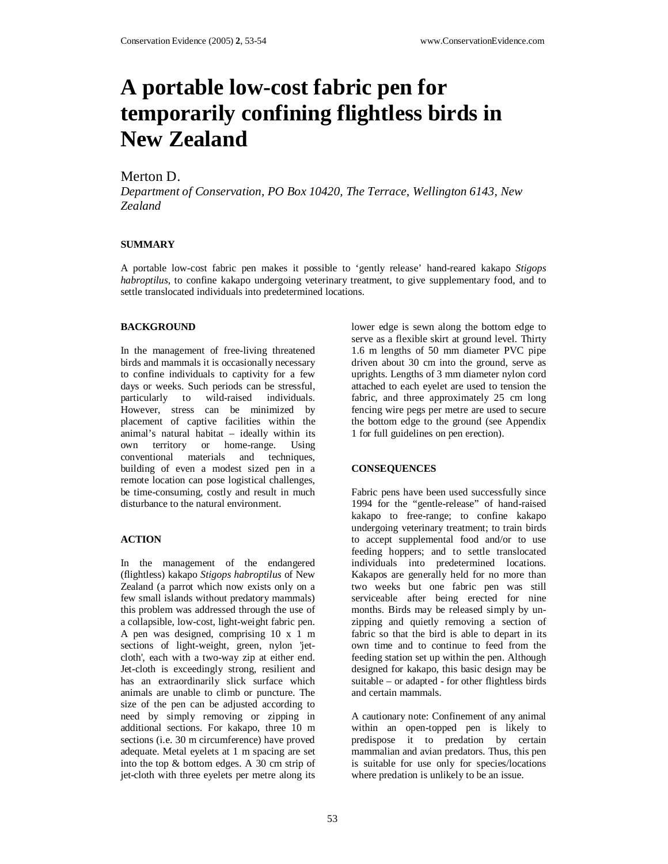# **A portable low-cost fabric pen for temporarily confining flightless birds in New Zealand**

# Merton D.

*Department of Conservation, PO Box 10420, The Terrace, Wellington 6143, New Zealand*

## **SUMMARY**

A portable low-cost fabric pen makes it possible to 'gently release' hand-reared kakapo *Stigops habroptilus*, to confine kakapo undergoing veterinary treatment, to give supplementary food, and to settle translocated individuals into predetermined locations.

## **BACKGROUND**

In the management of free-living threatened birds and mammals it is occasionally necessary to confine individuals to captivity for a few days or weeks. Such periods can be stressful, particularly to wild-raised individuals. However, stress can be minimized by placement of captive facilities within the animal's natural habitat – ideally within its own territory or home-range. Using conventional materials and techniques, building of even a modest sized pen in a remote location can pose logistical challenges, be time-consuming, costly and result in much disturbance to the natural environment.

# **ACTION**

In the management of the endangered (flightless) kakapo *Stigops habroptilus* of New Zealand (a parrot which now exists only on a few small islands without predatory mammals) this problem was addressed through the use of a collapsible, low-cost, light-weight fabric pen. A pen was designed, comprising 10 x 1 m sections of light-weight, green, nylon 'jetcloth', each with a two-way zip at either end. Jet-cloth is exceedingly strong, resilient and has an extraordinarily slick surface which animals are unable to climb or puncture. The size of the pen can be adjusted according to need by simply removing or zipping in additional sections. For kakapo, three 10 m sections (i.e. 30 m circumference) have proved adequate. Metal eyelets at 1 m spacing are set into the top & bottom edges. A 30 cm strip of jet-cloth with three eyelets per metre along its

lower edge is sewn along the bottom edge to serve as a flexible skirt at ground level. Thirty 1.6 m lengths of 50 mm diameter PVC pipe driven about 30 cm into the ground, serve as uprights. Lengths of 3 mm diameter nylon cord attached to each eyelet are used to tension the fabric, and three approximately 25 cm long fencing wire pegs per metre are used to secure the bottom edge to the ground (see Appendix 1 for full guidelines on pen erection).

#### **CONSEQUENCES**

Fabric pens have been used successfully since 1994 for the "gentle-release" of hand-raised kakapo to free-range; to confine kakapo undergoing veterinary treatment; to train birds to accept supplemental food and/or to use feeding hoppers; and to settle translocated individuals into predetermined locations. Kakapos are generally held for no more than two weeks but one fabric pen was still serviceable after being erected for nine months. Birds may be released simply by unzipping and quietly removing a section of fabric so that the bird is able to depart in its own time and to continue to feed from the feeding station set up within the pen. Although designed for kakapo, this basic design may be suitable – or adapted - for other flightless birds and certain mammals.

A cautionary note: Confinement of any animal within an open-topped pen is likely to predispose it to predation by certain mammalian and avian predators. Thus, this pen is suitable for use only for species/locations where predation is unlikely to be an issue.